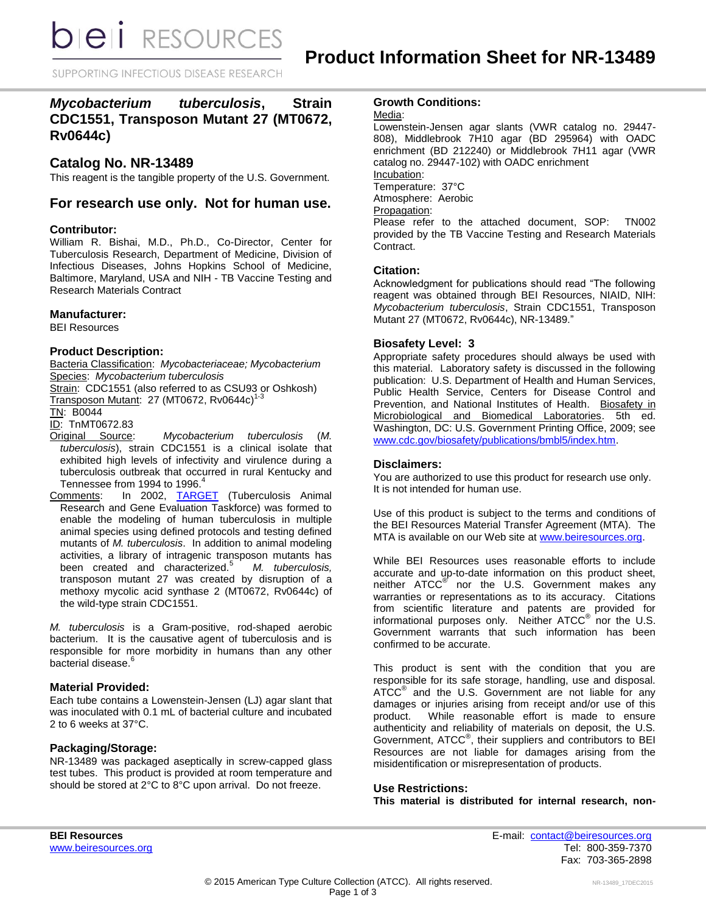**bieli** RESOURCES

SUPPORTING INFECTIOUS DISEASE RESEARCH

# *Mycobacterium tuberculosis***, Strain CDC1551, Transposon Mutant 27 (MT0672, Rv0644c)**

# **Catalog No. NR-13489**

This reagent is the tangible property of the U.S. Government.

# **For research use only. Not for human use.**

# **Contributor:**

William R. Bishai, M.D., Ph.D., Co-Director, Center for Tuberculosis Research, Department of Medicine, Division of Infectious Diseases, Johns Hopkins School of Medicine, Baltimore, Maryland, USA and NIH - TB Vaccine Testing and Research Materials Contract

# **Manufacturer:**

BEI Resources

# **Product Description:**

Bacteria Classification: *Mycobacteriaceae; Mycobacterium* Species: *Mycobacterium tuberculosis*

Strain: CDC1551 (also referred to as CSU93 or Oshkosh)

Transposon Mutant: 27 (MT0672, Rv0644c) 1-3

TN: B0044

ID: TnMT0672.83

- Original Source: *Mycobacterium tuberculosis* (*M. tuberculosis*), strain CDC1551 is a clinical isolate that exhibited high levels of infectivity and virulence during a tuberculosis outbreak that occurred in rural Kentucky and Tennessee from 1994 to 1996.
- Comments: In 2002, [TARGET](http://www.beiresources.org/Target.aspx) (Tuberculosis Animal Research and Gene Evaluation Taskforce) was formed to enable the modeling of human tuberculosis in multiple animal species using defined protocols and testing defined mutants of *M. tuberculosis*. In addition to animal modeling activities, a library of intragenic transposon mutants has been created and characterized.<sup>5</sup> *M. tuberculosis,* transposon mutant 27 was created by disruption of a methoxy mycolic acid synthase 2 (MT0672, Rv0644c) of the wild-type strain CDC1551.

*M. tuberculosis* is a Gram-positive, rod-shaped aerobic bacterium. It is the causative agent of tuberculosis and is responsible for more morbidity in humans than any other bacterial disease.<sup>6</sup>

# **Material Provided:**

Each tube contains a Lowenstein-Jensen (LJ) agar slant that was inoculated with 0.1 mL of bacterial culture and incubated 2 to 6 weeks at 37°C.

# **Packaging/Storage:**

NR-13489 was packaged aseptically in screw-capped glass test tubes. This product is provided at room temperature and should be stored at 2°C to 8°C upon arrival. Do not freeze.

# **Growth Conditions:**

Media:

Lowenstein-Jensen agar slants (VWR catalog no. 29447- 808), Middlebrook 7H10 agar (BD 295964) with OADC enrichment (BD 212240) or Middlebrook 7H11 agar (VWR catalog no. 29447-102) with OADC enrichment Incubation: Temperature: 37°C Atmosphere: Aerobic Propagation: Please refer to the attached document, SOP: TN002 provided by the TB Vaccine Testing and Research Materials

# **Citation:**

Contract.

Acknowledgment for publications should read "The following reagent was obtained through BEI Resources, NIAID, NIH: *Mycobacterium tuberculosis*, Strain CDC1551, Transposon Mutant 27 (MT0672, Rv0644c), NR-13489."

#### **Biosafety Level: 3**

Appropriate safety procedures should always be used with this material. Laboratory safety is discussed in the following publication: U.S. Department of Health and Human Services, Public Health Service, Centers for Disease Control and Prevention, and National Institutes of Health. Biosafety in Microbiological and Biomedical Laboratories. 5th ed. Washington, DC: U.S. Government Printing Office, 2009; see [www.cdc.gov/biosafety/publications/bmbl5/index.htm.](http://www.cdc.gov/biosafety/publications/bmbl5/index.htm)

#### **Disclaimers:**

You are authorized to use this product for research use only. It is not intended for human use.

Use of this product is subject to the terms and conditions of the BEI Resources Material Transfer Agreement (MTA). The MTA is available on our Web site at [www.beiresources.org.](http://www.beiresources.org/)

While BEI Resources uses reasonable efforts to include accurate and up-to-date information on this product sheet, neither ATCC<sup>®</sup> nor the U.S. Government makes any warranties or representations as to its accuracy. Citations from scientific literature and patents are provided for informational purposes only. Neither  $ATCC^{\circledast}$  nor the U.S. Government warrants that such information has been confirmed to be accurate.

This product is sent with the condition that you are responsible for its safe storage, handling, use and disposal. ATCC<sup>®</sup> and the U.S. Government are not liable for any damages or injuries arising from receipt and/or use of this product. While reasonable effort is made to ensure authenticity and reliability of materials on deposit, the U.S. Government, ATCC® , their suppliers and contributors to BEI Resources are not liable for damages arising from the misidentification or misrepresentation of products.

# **Use Restrictions:**

**This material is distributed for internal research, non-**

**BEI Resources** E-mail: [contact@beiresources.org](mailto:contact@beiresources.org) [www.beiresources.org](http://www.beiresources.org/) **Tel: 800-359-7370** Fax: 703-365-2898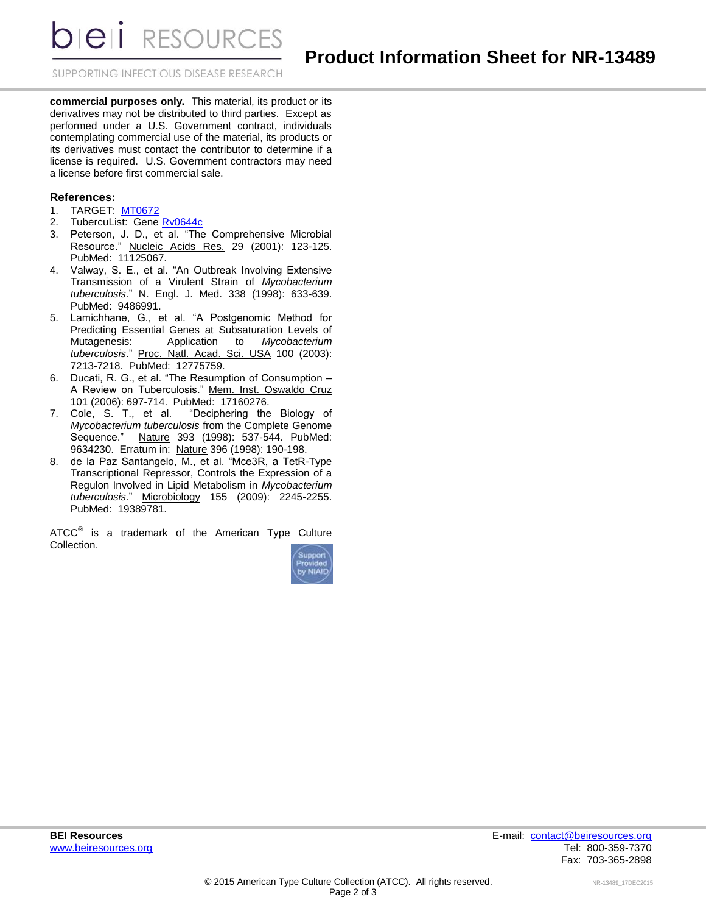**DIEII RESOURCES** 

SUPPORTING INFECTIOUS DISEASE RESEARCH

**commercial purposes only.** This material, its product or its derivatives may not be distributed to third parties. Except as performed under a U.S. Government contract, individuals contemplating commercial use of the material, its products or its derivatives must contact the contributor to determine if a license is required. U.S. Government contractors may need a license before first commercial sale.

#### **References:**

- 1. TARGET: [MT0672](http://www.beiresources.org/TargetDetails.aspx?query=MT0672)
- 2. TubercuList: Gene [Rv0644c](http://tuberculist.epfl.ch/quicksearch.php?gene+name=rv0644c)
- 3. Peterson, J. D., et al. "The Comprehensive Microbial Resource." Nucleic Acids Res. 29 (2001): 123-125. PubMed: 11125067.
- 4. Valway, S. E., et al. "An Outbreak Involving Extensive Transmission of a Virulent Strain of *Mycobacterium tuberculosis*." N. Engl. J. Med. 338 (1998): 633-639. PubMed: 9486991.
- 5. Lamichhane, G., et al. "A Postgenomic Method for Predicting Essential Genes at Subsaturation Levels of Mutagenesis: Application to *Mycobacterium tuberculosis*." Proc. Natl. Acad. Sci. USA 100 (2003): 7213-7218. PubMed: 12775759.
- 6. Ducati, R. G., et al. "The Resumption of Consumption A Review on Tuberculosis." Mem. Inst. Oswaldo Cruz 101 (2006): 697-714. PubMed: 17160276.
- 7. Cole, S. T., et al. "Deciphering the Biology of *Mycobacterium tuberculosis* from the Complete Genome Sequence." Nature 393 (1998): 537-544. PubMed: 9634230. Erratum in: Nature 396 (1998): 190-198.
- 8. de la Paz Santangelo, M., et al. "Mce3R, a TetR-Type Transcriptional Repressor, Controls the Expression of a Regulon Involved in Lipid Metabolism in *Mycobacterium tuberculosis*." Microbiology 155 (2009): 2245-2255. PubMed: 19389781.

ATCC $^{\circ}$  is a trademark of the American Type Culture Collection.